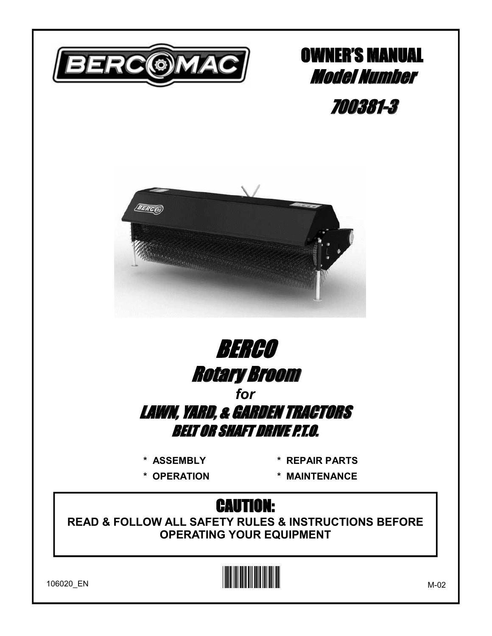

## **OWNER'S MANUAL Model Number**

700381-3





\* ASSEMBLY

\* OPERATION

\* REPAIR PARTS

\* MAINTENANCE

## **CAUTION:**

**READ & FOLLOW ALL SAFETY RULES & INSTRUCTIONS BEFORE OPERATING YOUR EQUIPMENT** 



106020\_EN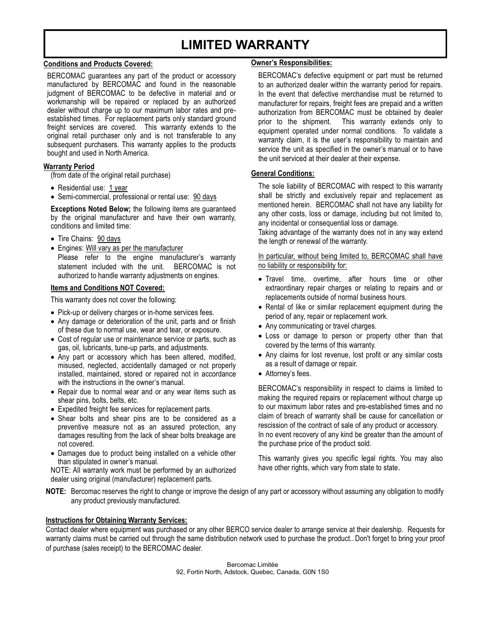## **LIMITED WARRANTY**

#### **Conditions and Products Covered:**

BERCOMAC guarantees any part of the product or accessory manufactured by BERCOMAC and found in the reasonable judgment of BERCOMAC to be defective in material and or workmanship will be repaired or replaced by an authorized dealer without charge up to our maximum labor rates and preestablished times. For replacement parts only standard ground freight services are covered. This warranty extends to the original retail purchaser only and is not transferable to any subsequent purchasers. This warranty applies to the products bought and used in North America.

#### **Warranty Period**

(from date of the original retail purchase)

- Residential use: 1 year
- Semi-commercial, professional or rental use: 90 days

**Exceptions Noted Below;** the following items are guaranteed by the original manufacturer and have their own warranty, conditions and limited time:

- Tire Chains: 90 days
- Engines: Will vary as per the manufacturer Please refer to the engine manufacturer's warranty statement included with the unit. BERCOMAC is not authorized to handle warranty adjustments on engines.

#### **Items and Conditions NOT Covered:**

This warranty does not cover the following:

- Pick-up or delivery charges or in-home services fees.
- Any damage or deterioration of the unit, parts and or finish of these due to normal use, wear and tear, or exposure.
- Cost of regular use or maintenance service or parts, such as gas, oil, lubricants, tune-up parts, and adjustments.
- Any part or accessory which has been altered, modified, misused, neglected, accidentally damaged or not properly installed, maintained, stored or repaired not in accordance with the instructions in the owner's manual.
- Repair due to normal wear and or any wear items such as shear pins, bolts, belts, etc.
- Expedited freight fee services for replacement parts.
- Shear bolts and shear pins are to be considered as a preventive measure not as an assured protection, any damages resulting from the lack of shear bolts breakage are not covered.
- Damages due to product being installed on a vehicle other than stipulated in owner's manual.

NOTE: All warranty work must be performed by an authorized dealer using original (manufacturer) replacement parts.

#### **Owner's Responsibilities:**

BERCOMAC's defective equipment or part must be returned to an authorized dealer within the warranty period for repairs. In the event that defective merchandise must be returned to manufacturer for repairs, freight fees are prepaid and a written authorization from BERCOMAC must be obtained by dealer prior to the shipment. This warranty extends only to equipment operated under normal conditions. To validate a warranty claim, it is the user's responsibility to maintain and service the unit as specified in the owner's manual or to have the unit serviced at their dealer at their expense.

#### **General Conditions:**

The sole liability of BERCOMAC with respect to this warranty shall be strictly and exclusively repair and replacement as mentioned herein. BERCOMAC shall not have any liability for any other costs, loss or damage, including but not limited to, any incidental or consequential loss or damage.

Taking advantage of the warranty does not in any way extend the length or renewal of the warranty.

In particular, without being limited to, BERCOMAC shall have no liability or responsibility for:

- Travel time, overtime, after hours time or other extraordinary repair charges or relating to repairs and or replacements outside of normal business hours.
- Rental of like or similar replacement equipment during the period of any, repair or replacement work.
- Any communicating or travel charges.
- Loss or damage to person or property other than that covered by the terms of this warranty.
- Any claims for lost revenue, lost profit or any similar costs as a result of damage or repair.
- $\bullet$  Attorney's fees.

BERCOMAC's responsibility in respect to claims is limited to making the required repairs or replacement without charge up to our maximum labor rates and pre-established times and no claim of breach of warranty shall be cause for cancellation or rescission of the contract of sale of any product or accessory. In no event recovery of any kind be greater than the amount of the purchase price of the product sold.

This warranty gives you specific legal rights. You may also have other rights, which vary from state to state.

**NOTE:** Bercomac reserves the right to change or improve the design of any part or accessory without assuming any obligation to modify any product previously manufactured.

#### **Instructions for Obtaining Warranty Services:**

Contact dealer where equipment was purchased or any other BERCO service dealer to arrange service at their dealership. Requests for warranty claims must be carried out through the same distribution network used to purchase the product.. Don't forget to bring your proof of purchase (sales receipt) to the BERCOMAC dealer.

> Bercomac Limitée 92, Fortin North, Adstock, Quebec, Canada, G0N 1S0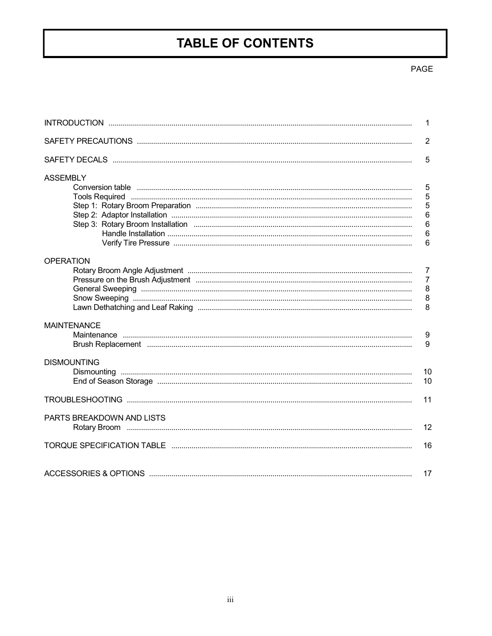## **TABLE OF CONTENTS**

#### $\ensuremath{\mathsf{PAGE}}$

|                           | $\mathbf 1$                       |
|---------------------------|-----------------------------------|
|                           | $\overline{2}$                    |
|                           | 5                                 |
| <b>ASSEMBLY</b>           | 5                                 |
|                           | 5<br>5<br>$6\phantom{a}$          |
|                           | $6\phantom{1}6$<br>$6\phantom{a}$ |
|                           | 6                                 |
| <b>OPERATION</b>          | $\overline{7}$                    |
|                           | $\overline{7}$                    |
|                           | $\bf 8$                           |
|                           | $\bf 8$                           |
|                           | 8                                 |
| <b>MAINTENANCE</b>        |                                   |
|                           | 9<br>9                            |
| <b>DISMOUNTING</b>        |                                   |
|                           | 10<br>10                          |
|                           | 11                                |
| PARTS BREAKDOWN AND LISTS | 12                                |
|                           | 16                                |
|                           | 17                                |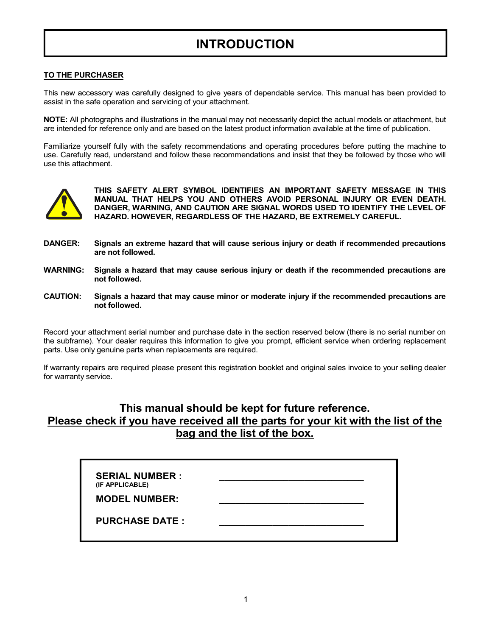## **INTRODUCTION**

#### **TO THE PURCHASER**

This new accessory was carefully designed to give years of dependable service. This manual has been provided to assist in the safe operation and servicing of your attachment.

**NOTE:** All photographs and illustrations in the manual may not necessarily depict the actual models or attachment, but are intended for reference only and are based on the latest product information available at the time of publication.

Familiarize yourself fully with the safety recommendations and operating procedures before putting the machine to use. Carefully read, understand and follow these recommendations and insist that they be followed by those who will use this attachment.



**THIS SAFETY ALERT SYMBOL IDENTIFIES AN IMPORTANT SAFETY MESSAGE IN THIS MANUAL THAT HELPS YOU AND OTHERS AVOID PERSONAL INJURY OR EVEN DEATH. DANGER, WARNING, AND CAUTION ARE SIGNAL WORDS USED TO IDENTIFY THE LEVEL OF HAZARD. HOWEVER, REGARDLESS OF THE HAZARD, BE EXTREMELY CAREFUL.**

- **DANGER: Signals an extreme hazard that will cause serious injury or death if recommended precautions are not followed.**
- **WARNING: Signals a hazard that may cause serious injury or death if the recommended precautions are not followed.**
- **CAUTION: Signals a hazard that may cause minor or moderate injury if the recommended precautions are not followed.**

Record your attachment serial number and purchase date in the section reserved below (there is no serial number on the subframe). Your dealer requires this information to give you prompt, efficient service when ordering replacement parts. Use only genuine parts when replacements are required.

If warranty repairs are required please present this registration booklet and original sales invoice to your selling dealer for warranty service.

#### **This manual should be kept for future reference. Please check if you have received all the parts for your kit with the list of the bag and the list of the box.**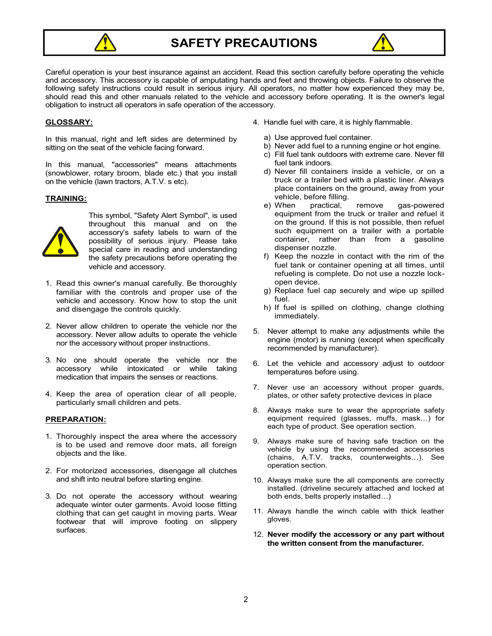

**SAFETY PRECAUTIONS** 



Careful operation is your best insurance against an accident. Read this section carefully before operating the vehicle and accessory. This accessory is capable of amputating hands and feet and throwing objects. Failure to observe the following safety instructions could result in serious injury. All operators, no matter how experienced they may be, should read this and other manuals related to the vehicle and accessory before operating. It is the owner's legal obligation to instruct all operators in safe operation of the accessory.

#### **GLOSSARY:**

In this manual, right and left sides are determined by sitting on the seat of the vehicle facing forward.

In this manual, "accessories" means attachments (snowblower, rotary broom, blade etc.) that you install on the vehicle (lawn tractors, A.T.V. s etc).

#### **TRAINING:**



This symbol, "Safety Alert Symbol", is used throughout this manual and on the  $\overline{\text{accessory}}$ 's safety labels to warn of the possibility of serious injury. Please take special care in reading and understanding the safety precautions before operating the vehicle and accessory.

- 1. Read this owner's manual carefully. Be thoroughly familiar with the controls and proper use of the vehicle and accessory. Know how to stop the unit and disengage the controls quickly.
- 2. Never allow children to operate the vehicle nor the accessory. Never allow adults to operate the vehicle nor the accessory without proper instructions.
- 3. No one should operate the vehicle nor the accessory while intoxicated or while taking medication that impairs the senses or reactions.
- 4. Keep the area of operation clear of all people, particularly small children and pets.

#### **PREPARATION:**

- 1. Thoroughly inspect the area where the accessory is to be used and remove door mats, all foreign objects and the like.
- 2. For motorized accessories, disengage all clutches and shift into neutral before starting engine.
- 3. Do not operate the accessory without wearing adequate winter outer garments. Avoid loose fitting clothing that can get caught in moving parts. Wear footwear that will improve footing on slippery surfaces.
- 4. Handle fuel with care, it is highly flammable.
	- a) Use approved fuel container.
	- b) Never add fuel to a running engine or hot engine.
	- c) Fill fuel tank outdoors with extreme care. Never fill fuel tank indoors.
	- d) Never fill containers inside a vehicle, or on a truck or a trailer bed with a plastic liner. Always place containers on the ground, away from your vehicle, before filling.<br>e) When practical.
	- practical, remove gas-powered equipment from the truck or trailer and refuel it on the ground. If this is not possible, then refuel such equipment on a trailer with a portable container, rather than from a gasoline dispenser nozzle.
	- f) Keep the nozzle in contact with the rim of the fuel tank or container opening at all times, until refueling is complete. Do not use a nozzle lockopen device.
	- g) Replace fuel cap securely and wipe up spilled fuel.
	- h) If fuel is spilled on clothing, change clothing immediately.
- 5. Never attempt to make any adjustments while the engine (motor) is running (except when specifically recommended by manufacturer).
- 6. Let the vehicle and accessory adjust to outdoor temperatures before using.
- 7. Never use an accessory without proper guards, plates, or other safety protective devices in place
- 8. Always make sure to wear the appropriate safety equipment required (glasses, muffs, mask...) for each type of product. See operation section.
- 9. Always make sure of having safe traction on the vehicle by using the recommended accessories  $(chains, A.T.V.$  tracks, counterweights...). See operation section.
- 10. Always make sure the all components are correctly installed. (driveline securely attached and locked at both ends, belts properly installed...)
- 11. Always handle the winch cable with thick leather gloves.
- 12. **Never modify the accessory or any part without the written consent from the manufacturer.**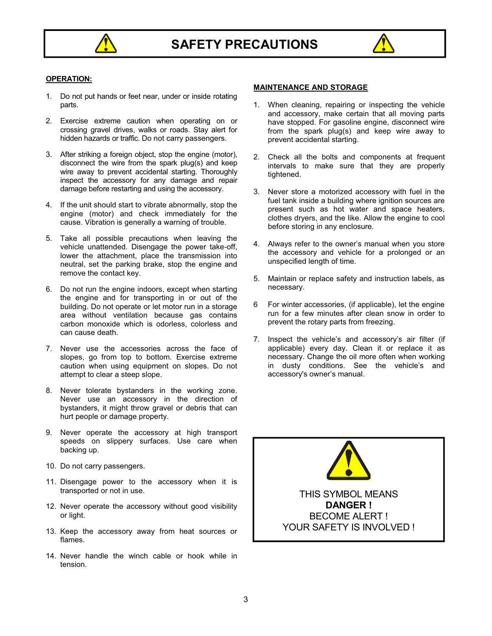



#### **OPERATION:**

- 1. Do not put hands or feet near, under or inside rotating parts.
- 2. Exercise extreme caution when operating on or crossing gravel drives, walks or roads. Stay alert for hidden hazards or traffic. Do not carry passengers.
- 3. After striking a foreign object, stop the engine (motor), disconnect the wire from the spark plug(s) and keep wire away to prevent accidental starting. Thoroughly inspect the accessory for any damage and repair damage before restarting and using the accessory.
- 4. If the unit should start to vibrate abnormally, stop the engine (motor) and check immediately for the cause. Vibration is generally a warning of trouble.
- 5. Take all possible precautions when leaving the vehicle unattended. Disengage the power take-off, lower the attachment, place the transmission into neutral, set the parking brake, stop the engine and remove the contact key.
- 6. Do not run the engine indoors, except when starting the engine and for transporting in or out of the building. Do not operate or let motor run in a storage area without ventilation because gas contains carbon monoxide which is odorless, colorless and can cause death.
- 7. Never use the accessories across the face of slopes, go from top to bottom. Exercise extreme caution when using equipment on slopes. Do not attempt to clear a steep slope.
- 8. Never tolerate bystanders in the working zone. Never use an accessory in the direction of bystanders, it might throw gravel or debris that can hurt people or damage property.
- 9. Never operate the accessory at high transport speeds on slippery surfaces. Use care when backing up.
- 10. Do not carry passengers.
- 11. Disengage power to the accessory when it is transported or not in use.
- 12. Never operate the accessory without good visibility or light.
- 13. Keep the accessory away from heat sources or flames.
- 14. Never handle the winch cable or hook while in tension.

#### **MAINTENANCE AND STORAGE**

- 1. When cleaning, repairing or inspecting the vehicle and accessory, make certain that all moving parts have stopped. For gasoline engine, disconnect wire from the spark plug(s) and keep wire away to prevent accidental starting.
- 2. Check all the bolts and components at frequent intervals to make sure that they are properly tightened.
- 3. Never store a motorized accessory with fuel in the fuel tank inside a building where ignition sources are present such as hot water and space heaters, clothes dryers, and the like. Allow the engine to cool before storing in any enclosure.
- 4. Always refer to the owner's manual when you store the accessory and vehicle for a prolonged or an unspecified length of time.
- 5. Maintain or replace safety and instruction labels, as necessary.
- 6 For winter accessories, (if applicable), let the engine run for a few minutes after clean snow in order to prevent the rotary parts from freezing.
- 7. Inspect the vehicle's and accessory's air filter (if applicable) every day. Clean it or replace it as necessary. Change the oil more often when working in dusty conditions. See the vehicle's and accessory's owner's manual.

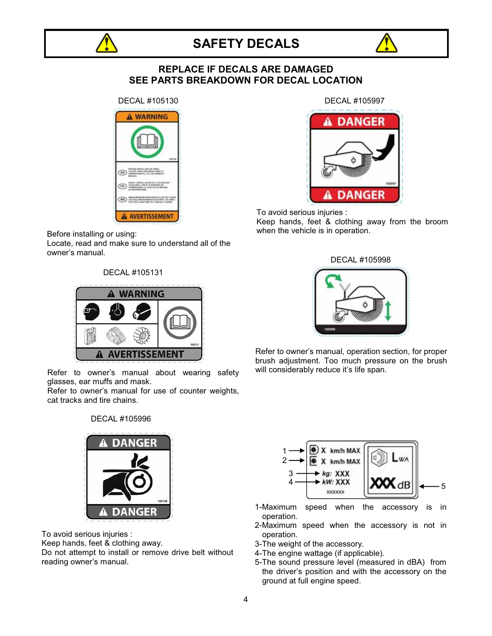



#### **REPLACE IF DECALS ARE DAMAGED** SEE PARTS BREAKDOWN FOR DECAL LOCATION



Before installing or using:

Locate, read and make sure to understand all of the owner's manual.

DECAL #105131



Refer to owner's manual about wearing safety glasses, ear muffs and mask.

Refer to owner's manual for use of counter weights, cat tracks and tire chains.

#### DECAL #105996



To avoid serious injuries :

Keep hands, feet & clothing away.

Do not attempt to install or remove drive belt without reading owner's manual.

DECAL #105997



To avoid serious injuries : Keep hands, feet & clothing away from the broom when the vehicle is in operation.



Refer to owner's manual, operation section, for proper brush adjustment. Too much pressure on the brush will considerably reduce it's life span.



- 1-Maximum speed when the accessory is in operation.
- 2-Maximum speed when the accessory is not in operation.
- 3-The weight of the accessory.
- 4-The engine wattage (if applicable).
- 5-The sound pressure level (measured in dBA) from the driver's position and with the accessory on the ground at full engine speed.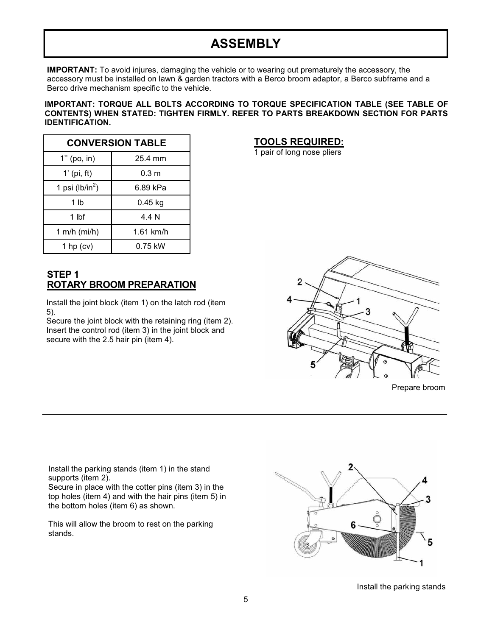## **ASSEMBLY**

**IMPORTANT:** To avoid injures, damaging the vehicle or to wearing out prematurely the accessory, the accessory must be installed on lawn & garden tractors with a Berco broom adaptor, a Berco subframe and a Berco drive mechanism specific to the vehicle.

#### IMPORTANT: TORQUE ALL BOLTS ACCORDING TO TORQUE SPECIFICATION TABLE (SEE TABLE OF CONTENTS) WHEN STATED: TIGHTEN FIRMLY. REFER TO PARTS BREAKDOWN SECTION FOR PARTS **IDENTIFICATION.**

| <b>CONVERSION TABLE</b>     |                  |  |  |  |  |
|-----------------------------|------------------|--|--|--|--|
| $1"$ (po, in)               | 25.4 mm          |  |  |  |  |
| $1'$ (pi, ft)               | 0.3 <sub>m</sub> |  |  |  |  |
| 1 psi (lb/in <sup>2</sup> ) | 6.89 kPa         |  |  |  |  |
| 1 lb                        | $0.45$ kg        |  |  |  |  |
| 1 lbf                       | 4 4 N            |  |  |  |  |
| 1 m/h $(mi/h)$              | $1.61$ km/h      |  |  |  |  |
| 1 hp $(cv)$                 | $0.75$ kW        |  |  |  |  |

#### STEP<sub>1</sub> **ROTARY BROOM PREPARATION**

Install the joint block (item 1) on the latch rod (item  $5$ ).

Secure the joint block with the retaining ring (item 2). Insert the control rod (item 3) in the joint block and secure with the 2.5 hair pin (item 4).

#### **TOOLS REQUIRED:**

1 pair of long nose pliers



Prepare broom

Install the parking stands (item 1) in the stand supports (item 2).

Secure in place with the cotter pins (item 3) in the top holes (item 4) and with the hair pins (item 5) in the bottom holes (item 6) as shown.

This will allow the broom to rest on the parking stands.



Install the parking stands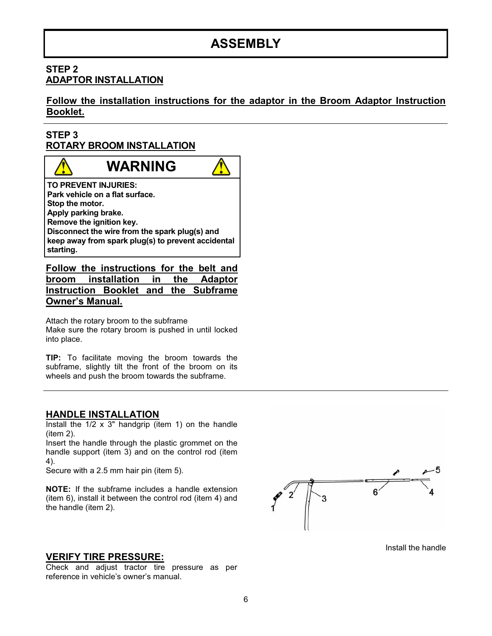## **ASSEMBLY**

#### STEP<sub>2</sub> **ADAPTOR INSTALLATION**

Follow the installation instructions for the adaptor in the Broom Adaptor Instruction Booklet.

#### STEP<sub>3</sub> **ROTARY BROOM INSTALLATION**

## **WARNING**

TO PREVENT INJURIES: Park vehicle on a flat surface. Stop the motor. Apply parking brake. Remove the ignition key. Disconnect the wire from the spark plug(s) and keep away from spark plug(s) to prevent accidental starting.

Follow the instructions for the belt and broom installation in the **Adaptor** Instruction Booklet and the Subframe **Owner's Manual.** 

Attach the rotary broom to the subframe Make sure the rotary broom is pushed in until locked into place.

TIP: To facilitate moving the broom towards the subframe, slightly tilt the front of the broom on its wheels and push the broom towards the subframe.

#### **HANDLE INSTALLATION**

Install the  $1/2 \times 3$ " handgrip (item 1) on the handle  $item 2).$ 

Insert the handle through the plastic grommet on the handle support (item 3) and on the control rod (item 4).

Secure with a 2.5 mm hair pin (item 5).

NOTE: If the subframe includes a handle extension (item 6), install it between the control rod (item 4) and the handle (item 2).



Install the handle

#### **VERIFY TIRE PRESSURE:**

Check and adjust tractor tire pressure as per reference in vehicle's owner's manual.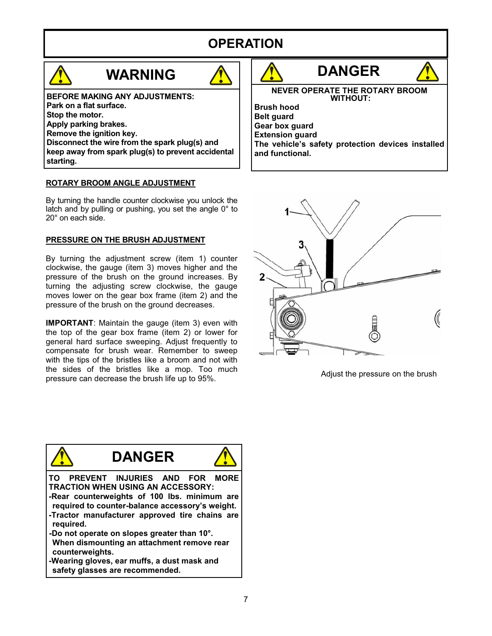## **OPERATION**

## **WARNING**



**BEFORE MAKING ANY ADJUSTMENTS:** Park on a flat surface. Stop the motor. Apply parking brakes. Remove the ignition key. Disconnect the wire from the spark plug(s) and keep away from spark plug(s) to prevent accidental starting.

#### ROTARY BROOM ANGLE ADJUSTMENT

By turning the handle counter clockwise you unlock the latch and by pulling or pushing, you set the angle  $0^\circ$  to 20° on each side.

#### PRESSURE ON THE BRUSH ADJUSTMENT

By turning the adiustment screw (item 1) counter clockwise, the gauge (item 3) moves higher and the pressure of the brush on the ground increases. By turning the adjusting screw clockwise, the gauge moves lower on the gear box frame (item 2) and the pressure of the brush on the ground decreases.

**IMPORTANT:** Maintain the gauge (item 3) even with the top of the gear box frame (item 2) or lower for general hard surface sweeping. Adjust frequently to compensate for brush wear. Remember to sweep with the tips of the bristles like a broom and not with the sides of the bristles like a mop. Too much pressure can decrease the brush life up to 95%.





Adjust the pressure on the brush

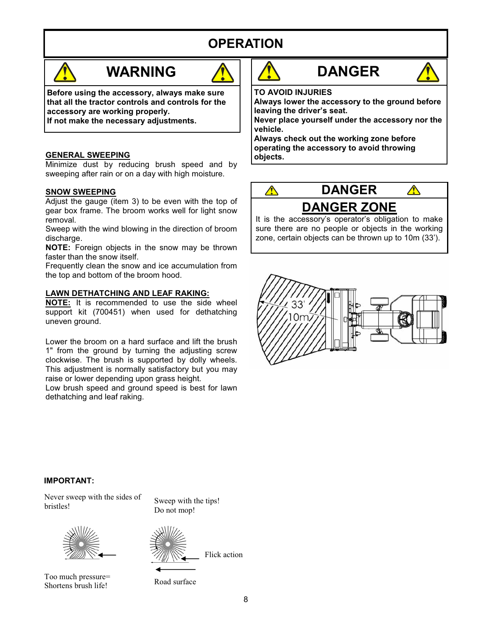## **OPERATION**



## **WARNING**



Before using the accessory, always make sure that all the tractor controls and controls for the accessory are working properly.

If not make the necessary adjustments.

#### **GENERAL SWEEPING**

Minimize dust by reducing brush speed and by sweeping after rain or on a day with high moisture.

#### **SNOW SWEEPING**

Adjust the gauge (item 3) to be even with the top of gear box frame. The broom works well for light snow removal.

Sweep with the wind blowing in the direction of broom discharge.

NOTE: Foreign objects in the snow may be thrown faster than the snow itself.

Frequently clean the snow and ice accumulation from the top and bottom of the broom hood.

#### **LAWN DETHATCHING AND LEAF RAKING:**

NOTE: It is recommended to use the side wheel support kit (700451) when used for dethatching uneven ground.

Lower the broom on a hard surface and lift the brush 1" from the ground by turning the adjusting screw clockwise. The brush is supported by dolly wheels. This adjustment is normally satisfactory but you may raise or lower depending upon grass height.

Low brush speed and ground speed is best for lawn dethatching and leaf raking.





**TO AVOID INJURIES** 

Always lower the accessory to the ground before leaving the driver's seat.

Never place yourself under the accessory nor the vehicle.

Always check out the working zone before operating the accessory to avoid throwing obiects.



It is the accessory's operator's obligation to make sure there are no people or objects in the working zone, certain objects can be thrown up to 10m (33').



#### **IMPORTANT:**

Never sweep with the sides of bristles!



Too much pressure= Shortens brush life!

Sweep with the tips! Do not mop!



Flick action

Road surface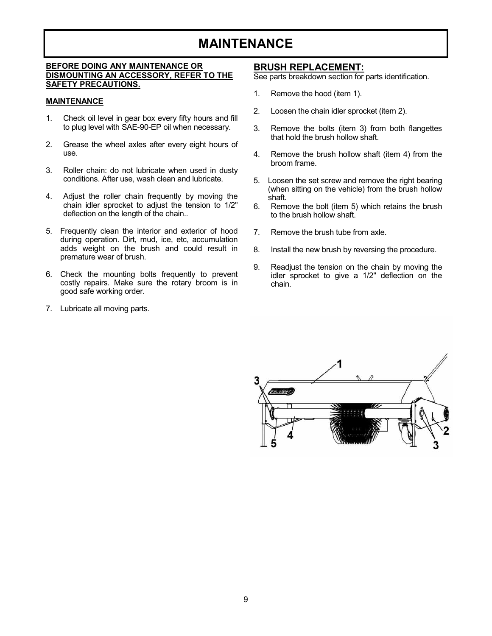## **MAINTENANCE**

#### **BEFORE DOING ANY MAINTENANCE OR** DISMOUNTING AN ACCESSORY, REFER TO THE **SAFETY PRECAUTIONS.**

#### **MAINTENANCE**

- Check oil level in gear box every fifty hours and fill  $1<sub>1</sub>$ to plug level with SAE-90-EP oil when necessary.
- $2.$ Grease the wheel axles after every eight hours of use.
- Roller chain: do not lubricate when used in dusty  $\mathbf{3}$ conditions. After use, wash clean and lubricate.
- Adjust the roller chain frequently by moving the 4. chain idler sprocket to adjust the tension to 1/2" deflection on the length of the chain..
- 5. Frequently clean the interior and exterior of hood during operation. Dirt, mud, ice, etc, accumulation adds weight on the brush and could result in premature wear of brush.
- 6. Check the mounting bolts frequently to prevent costly repairs. Make sure the rotary broom is in good safe working order.
- 7. Lubricate all moving parts.

#### **BRUSH REPLACEMENT:**

See parts breakdown section for parts identification.

- $1.$ Remove the hood (item 1).
- $2<sub>1</sub>$ Loosen the chain idler sprocket (item 2).
- $3<sub>1</sub>$ Remove the bolts (item 3) from both flangettes that hold the brush hollow shaft.
- Remove the brush hollow shaft (item 4) from the  $4.$ broom frame.
- 5. Loosen the set screw and remove the right bearing (when sitting on the vehicle) from the brush hollow shaft.
- Remove the bolt (item 5) which retains the brush 6. to the brush hollow shaft.
- $\overline{7}$ Remove the brush tube from axle.
- 8. Install the new brush by reversing the procedure.
- 9. Readiust the tension on the chain by moving the idler sprocket to give a 1/2" deflection on the chain.

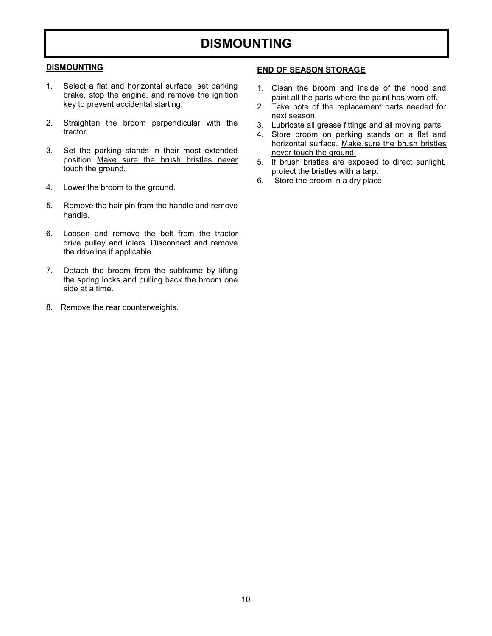## **DISMOUNTING**

#### **DISMOUNTING**

- Select a flat and horizontal surface, set parking  $1<sup>1</sup>$ brake, stop the engine, and remove the ignition key to prevent accidental starting.
- $2.$ Straighten the broom perpendicular with the tractor.
- $3.$ Set the parking stands in their most extended position Make sure the brush bristles never touch the ground.
- 4. Lower the broom to the ground.
- 5. Remove the hair pin from the handle and remove handle.
- $6.$ Loosen and remove the belt from the tractor drive pulley and idlers. Disconnect and remove the driveline if applicable.
- Detach the broom from the subframe by lifting 7. the spring locks and pulling back the broom one side at a time
- 8. Remove the rear counterweights.

#### **END OF SEASON STORAGE**

- 1. Clean the broom and inside of the hood and paint all the parts where the paint has worn off.
- 2. Take note of the replacement parts needed for next season.
- 3. Lubricate all grease fittings and all moving parts.
- 4. Store broom on parking stands on a flat and horizontal surface. Make sure the brush bristles never touch the ground.
- 5. If brush bristles are exposed to direct sunlight, protect the bristles with a tarp.
- 6. Store the broom in a dry place.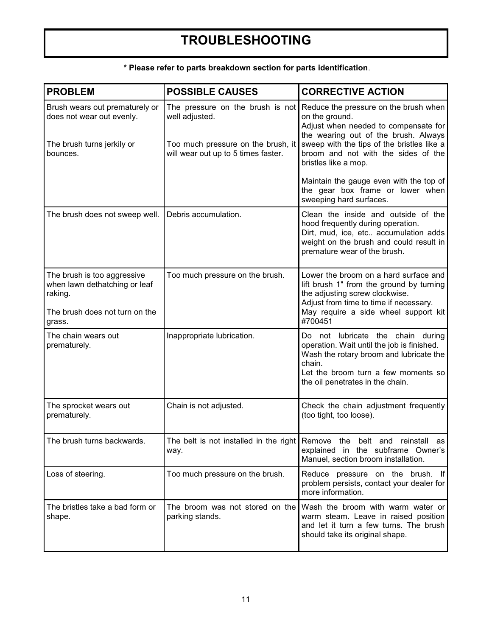## **TROUBLESHOOTING**

| <b>PROBLEM</b>                                                                                                      | <b>POSSIBLE CAUSES</b>                                                                                                          | <b>CORRECTIVE ACTION</b>                                                                                                                                                                                                                                                                        |
|---------------------------------------------------------------------------------------------------------------------|---------------------------------------------------------------------------------------------------------------------------------|-------------------------------------------------------------------------------------------------------------------------------------------------------------------------------------------------------------------------------------------------------------------------------------------------|
| Brush wears out prematurely or<br>does not wear out evenly.<br>The brush turns jerkily or<br>bounces.               | The pressure on the brush is not<br>well adjusted.<br>Too much pressure on the brush, it<br>will wear out up to 5 times faster. | Reduce the pressure on the brush when<br>on the ground.<br>Adjust when needed to compensate for<br>the wearing out of the brush. Always<br>sweep with the tips of the bristles like a<br>broom and not with the sides of the<br>bristles like a mop.<br>Maintain the gauge even with the top of |
|                                                                                                                     |                                                                                                                                 | the gear box frame or lower when<br>sweeping hard surfaces.                                                                                                                                                                                                                                     |
| The brush does not sweep well.                                                                                      | Debris accumulation.                                                                                                            | Clean the inside and outside of the<br>hood frequently during operation.<br>Dirt, mud, ice, etc accumulation adds<br>weight on the brush and could result in<br>premature wear of the brush.                                                                                                    |
| The brush is too aggressive<br>when lawn dethatching or leaf<br>raking.<br>The brush does not turn on the<br>grass. | Too much pressure on the brush.                                                                                                 | Lower the broom on a hard surface and<br>lift brush 1" from the ground by turning<br>the adjusting screw clockwise.<br>Adjust from time to time if necessary.<br>May require a side wheel support kit<br>#700451                                                                                |
| The chain wears out<br>prematurely.                                                                                 | Inappropriate lubrication.                                                                                                      | Do not lubricate the chain during<br>operation. Wait until the job is finished.<br>Wash the rotary broom and lubricate the<br>chain.<br>Let the broom turn a few moments so<br>the oil penetrates in the chain.                                                                                 |
| The sprocket wears out<br>prematurely.                                                                              | Chain is not adjusted.                                                                                                          | Check the chain adjustment frequently<br>(too tight, too loose).                                                                                                                                                                                                                                |
| The brush turns backwards.                                                                                          | way.                                                                                                                            | The belt is not installed in the right Remove the belt and reinstall as<br>explained in the subframe Owner's<br>Manuel, section broom installation.                                                                                                                                             |
| Loss of steering.                                                                                                   | Too much pressure on the brush.                                                                                                 | Reduce pressure on the brush. If<br>problem persists, contact your dealer for<br>more information.                                                                                                                                                                                              |
| The bristles take a bad form or<br>shape.                                                                           | The broom was not stored on the<br>parking stands.                                                                              | Wash the broom with warm water or<br>warm steam. Leave in raised position<br>and let it turn a few turns. The brush<br>should take its original shape.                                                                                                                                          |

#### \* Please refer to parts breakdown section for parts identification.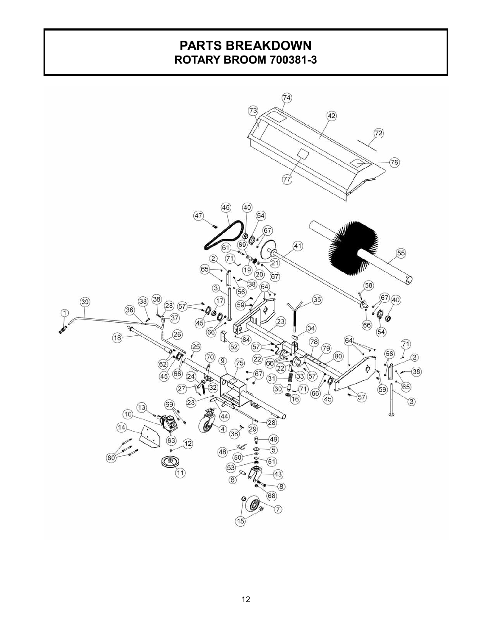### **PARTS BREAKDOWN ROTARY BROOM 700381-3**

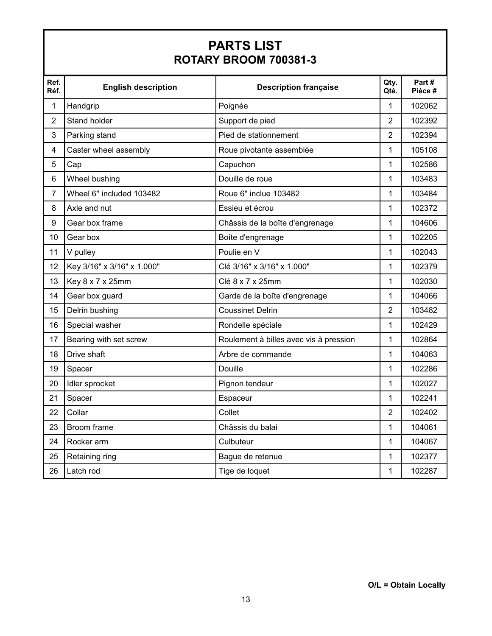## **PARTS LIST ROTARY BROOM 700381-3**

| Ref.<br>Réf.   | <b>English description</b> | <b>Description française</b>           | Qty.<br>Qté.   | Part#<br>Pièce # |
|----------------|----------------------------|----------------------------------------|----------------|------------------|
| 1              | Handgrip                   | Poignée                                | 1              | 102062           |
| $\overline{2}$ | Stand holder               | Support de pied                        | 2              | 102392           |
| 3              | Parking stand              | Pied de stationnement                  | $\overline{2}$ | 102394           |
| 4              | Caster wheel assembly      | Roue pivotante assemblée               | $\mathbf{1}$   | 105108           |
| 5              | Cap                        | Capuchon                               | 1              | 102586           |
| 6              | Wheel bushing              | Douille de roue                        | 1              | 103483           |
| $\overline{7}$ | Wheel 6" included 103482   | Roue 6" inclue 103482                  | 1              | 103484           |
| 8              | Axle and nut               | Essieu et écrou                        | 1              | 102372           |
| 9              | Gear box frame             | Châssis de la boîte d'engrenage        | 1              | 104606           |
| 10             | Gear box                   | Boîte d'engrenage                      | $\mathbf{1}$   | 102205           |
| 11             | V pulley                   | Poulie en V                            | 1              | 102043           |
| 12             | Key 3/16" x 3/16" x 1.000" | Clé 3/16" x 3/16" x 1.000"             | 1              | 102379           |
| 13             | Key 8 x 7 x 25mm           | Clé 8 x 7 x 25mm                       | $\mathbf{1}$   | 102030           |
| 14             | Gear box guard             | Garde de la boîte d'engrenage          | 1              | 104066           |
| 15             | Delrin bushing             | <b>Coussinet Delrin</b>                | $\overline{2}$ | 103482           |
| 16             | Special washer             | Rondelle spéciale                      | $\mathbf{1}$   | 102429           |
| 17             | Bearing with set screw     | Roulement à billes avec vis à pression | 1              | 102864           |
| 18             | Drive shaft                | Arbre de commande                      | 1              | 104063           |
| 19             | Spacer                     | Douille                                | 1              | 102286           |
| 20             | Idler sprocket             | Pignon tendeur                         | 1              | 102027           |
| 21             | Spacer                     | Espaceur                               | 1              | 102241           |
| 22             | Collar                     | Collet                                 | $\overline{2}$ | 102402           |
| 23             | Broom frame                | Châssis du balai                       | 1              | 104061           |
| 24             | Rocker arm                 | Culbuteur                              | 1              | 104067           |
| 25             | Retaining ring             | Bague de retenue                       | 1              | 102377           |
| 26             | Latch rod                  | Tige de loquet                         | 1              | 102287           |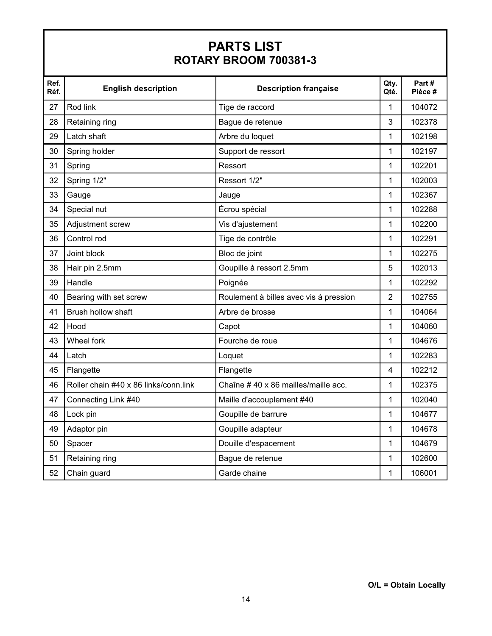## **PARTS LIST ROTARY BROOM 700381-3**

| Ref.<br>Réf. | <b>English description</b>            | <b>Description française</b>           | Qty.<br>Qté.   | Part#<br>Pièce # |
|--------------|---------------------------------------|----------------------------------------|----------------|------------------|
| 27           | Rod link                              | Tige de raccord                        | 1              | 104072           |
| 28           | Retaining ring                        | Bague de retenue                       | 3              | 102378           |
| 29           | Latch shaft                           | Arbre du loquet                        | 1              | 102198           |
| 30           | Spring holder                         | Support de ressort                     | 1              | 102197           |
| 31           | Spring                                | Ressort                                | 1              | 102201           |
| 32           | Spring 1/2"                           | Ressort 1/2"                           | 1              | 102003           |
| 33           | Gauge                                 | Jauge                                  | 1              | 102367           |
| 34           | Special nut                           | Écrou spécial                          | 1              | 102288           |
| 35           | Adjustment screw                      | Vis d'ajustement                       | 1              | 102200           |
| 36           | Control rod                           | Tige de contrôle                       | 1              | 102291           |
| 37           | Joint block                           | Bloc de joint                          | 1              | 102275           |
| 38           | Hair pin 2.5mm                        | Goupille à ressort 2.5mm               | 5              | 102013           |
| 39           | Handle                                | Poignée                                | 1              | 102292           |
| 40           | Bearing with set screw                | Roulement à billes avec vis à pression | $\overline{2}$ | 102755           |
| 41           | Brush hollow shaft                    | Arbre de brosse                        | 1              | 104064           |
| 42           | Hood                                  | Capot                                  | 1              | 104060           |
| 43           | Wheel fork                            | Fourche de roue                        | 1              | 104676           |
| 44           | Latch                                 | Loquet                                 | 1              | 102283           |
| 45           | Flangette                             | Flangette                              | 4              | 102212           |
| 46           | Roller chain #40 x 86 links/conn.link | Chaîne #40 x 86 mailles/maille acc.    | 1              | 102375           |
| 47           | Connecting Link #40                   | Maille d'accouplement #40              | 1              | 102040           |
| 48           | Lock pin                              | Goupille de barrure                    | 1              | 104677           |
| 49           | Adaptor pin                           | Goupille adapteur                      | 1              | 104678           |
| 50           | Spacer                                | Douille d'espacement                   | 1              | 104679           |
| 51           | Retaining ring                        | Bague de retenue                       | 1              | 102600           |
| 52           | Chain guard                           | Garde chaine                           | 1              | 106001           |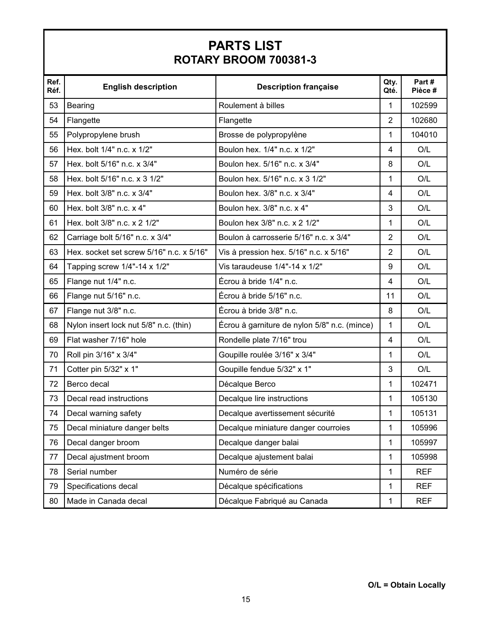## **PARTS LIST ROTARY BROOM 700381-3**

| Ref.<br>Réf. | <b>English description</b>               | <b>Description française</b>                 | Qty.<br>Qté.   | Part#<br>Pièce # |
|--------------|------------------------------------------|----------------------------------------------|----------------|------------------|
| 53           | Bearing                                  | Roulement à billes                           | 1              | 102599           |
| 54           | Flangette                                | Flangette                                    | $\overline{2}$ | 102680           |
| 55           | Polypropylene brush                      | Brosse de polypropylène                      | 1              | 104010           |
| 56           | Hex. bolt 1/4" n.c. x 1/2"               | Boulon hex. 1/4" n.c. x 1/2"                 | 4              | O/L              |
| 57           | Hex. bolt 5/16" n.c. x 3/4"              | Boulon hex. 5/16" n.c. x 3/4"                | 8              | O/L              |
| 58           | Hex. bolt 5/16" n.c. x 3 1/2"            | Boulon hex. 5/16" n.c. x 3 1/2"              | 1              | O/L              |
| 59           | Hex. bolt 3/8" n.c. x 3/4"               | Boulon hex. 3/8" n.c. x 3/4"                 | $\overline{4}$ | O/L              |
| 60           | Hex. bolt 3/8" n.c. x 4"                 | Boulon hex. 3/8" n.c. x 4"                   | 3              | O/L              |
| 61           | Hex. bolt 3/8" n.c. x 2 1/2"             | Boulon hex 3/8" n.c. x 2 1/2"                | 1              | O/L              |
| 62           | Carriage bolt 5/16" n.c. x 3/4"          | Boulon à carrosserie 5/16" n.c. x 3/4"       | $\overline{2}$ | O/L              |
| 63           | Hex. socket set screw 5/16" n.c. x 5/16" | Vis à pression hex. 5/16" n.c. x 5/16"       | $\overline{2}$ | O/L              |
| 64           | Tapping screw 1/4"-14 x 1/2"             | Vis taraudeuse 1/4"-14 x 1/2"                | 9              | O/L              |
| 65           | Flange nut 1/4" n.c.                     | Écrou à bride 1/4" n.c.                      | $\overline{4}$ | O/L              |
| 66           | Flange nut 5/16" n.c.                    | Écrou à bride 5/16" n.c.                     | 11             | O/L              |
| 67           | Flange nut 3/8" n.c.                     | Écrou à bride 3/8" n.c.                      | 8              | O/L              |
| 68           | Nylon insert lock nut 5/8" n.c. (thin)   | Écrou à garniture de nylon 5/8" n.c. (mince) | 1              | O/L              |
| 69           | Flat washer 7/16" hole                   | Rondelle plate 7/16" trou                    | 4              | O/L              |
| 70           | Roll pin 3/16" x 3/4"                    | Goupille roulée 3/16" x 3/4"                 | 1              | O/L              |
| 71           | Cotter pin 5/32" x 1"                    | Goupille fendue 5/32" x 1"                   | 3              | O/L              |
| 72           | Berco decal                              | Décalque Berco                               | 1              | 102471           |
| 73           | Decal read instructions                  | Decalque lire instructions                   | 1              | 105130           |
| 74           | Decal warning safety                     | Decalque avertissement sécurité              | 1              | 105131           |
| 75           | Decal miniature danger belts             | Decalque miniature danger courroies          | 1              | 105996           |
| 76           | Decal danger broom                       | Decalque danger balai                        | 1              | 105997           |
| 77           | Decal ajustment broom                    | Decalque ajustement balai                    | 1              | 105998           |
| 78           | Serial number                            | Numéro de série                              | $\mathbf{1}$   | <b>REF</b>       |
| 79           | Specifications decal                     | Décalque spécifications                      | $\mathbf{1}$   | <b>REF</b>       |
| 80           | Made in Canada decal                     | Décalque Fabriqué au Canada                  | 1              | <b>REF</b>       |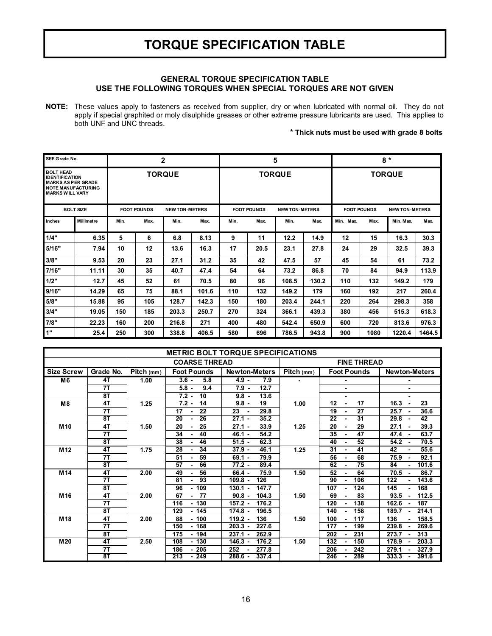## **TORQUE SPECIFICATION TABLE**

#### **GENERAL TORQUE SPECIFICATION TABLE USE THE FOLLOWING TORQUES WHEN SPECIAL TORQUES ARE NOT GIVEN**

**NOTE:** These values apply to fasteners as received from supplier, dry or when lubricated with normal oil. They do not apply if special graphited or moly disulphide greases or other extreme pressure lubricants are used. This applies to both UNF and UNC threads.

#### **\* Thick nuts must be used with grade 8 bolts**

| SEE Grade No.                                                                                                          |                   |               |                    | $\mathbf{2}$          |       | 5    |                    |                       | $8*$  |                    |               |                       |        |
|------------------------------------------------------------------------------------------------------------------------|-------------------|---------------|--------------------|-----------------------|-------|------|--------------------|-----------------------|-------|--------------------|---------------|-----------------------|--------|
| <b>BOLT HEAD</b><br><b>IDENTIFICATION</b><br><b>MARKS AS PER GRADE</b><br>NOTE MANUFACTURING<br><b>MARKS WILL VARY</b> |                   | <b>TORQUE</b> |                    |                       |       |      | <b>TORQUE</b>      |                       |       |                    | <b>TORQUE</b> |                       |        |
|                                                                                                                        | <b>BOLT SIZE</b>  |               | <b>FOOT POUNDS</b> | <b>NEW TON-METERS</b> |       |      | <b>FOOT POUNDS</b> | <b>NEW TON-METERS</b> |       | <b>FOOT POUNDS</b> |               | <b>NEW TON-METERS</b> |        |
| Inches                                                                                                                 | <b>Millimetre</b> | Min.          | Max.               | Min.                  | Max.  | Min. | Max.               | Min.                  | Max.  | Min. Max.          | Max.          | Min. Max.             | Max.   |
| 1/4"                                                                                                                   | 6.35              | 5             | 6                  | 6.8                   | 8.13  | 9    | 11                 | 12.2                  | 14.9  | 12                 | 15            | 16.3                  | 30.3   |
| 5/16"                                                                                                                  | 7.94              | 10            | 12                 | 13.6                  | 16.3  | 17   | 20.5               | 23.1                  | 27.8  | 24                 | 29            | 32.5                  | 39.3   |
| 3/8"                                                                                                                   | 9.53              | 20            | 23                 | 27.1                  | 31.2  | 35   | 42                 | 47.5                  | 57    | 45                 | 54            | 61                    | 73.2   |
| 7/16"                                                                                                                  | 11.11             | 30            | 35                 | 40.7                  | 47.4  | 54   | 64                 | 73.2                  | 86.8  | 70                 | 84            | 94.9                  | 113.9  |
| 1/2"                                                                                                                   | 12.7              | 45            | 52                 | 61                    | 70.5  | 80   | 96                 | 108.5                 | 130.2 | 110                | 132           | 149.2                 | 179    |
| 9/16"                                                                                                                  | 14.29             | 65            | 75                 | 88.1                  | 101.6 | 110  | 132                | 149.2                 | 179   | 160                | 192           | 217                   | 260.4  |
| 5/8"                                                                                                                   | 15.88             | 95            | 105                | 128.7                 | 142.3 | 150  | 180                | 203.4                 | 244.1 | 220                | 264           | 298.3                 | 358    |
| 3/4"                                                                                                                   | 19.05             | 150           | 185                | 203.3                 | 250.7 | 270  | 324                | 366.1                 | 439.3 | 380                | 456           | 515.3                 | 618.3  |
| 7/8"                                                                                                                   | 22.23             | 160           | 200                | 216.8                 | 271   | 400  | 480                | 542.4                 | 650.9 | 600                | 720           | 813.6                 | 976.3  |
| 1"                                                                                                                     | 25.4              | 250           | 300                | 338.8                 | 406.5 | 580  | 696                | 786.5                 | 943.8 | 900                | 1080          | 1220.4                | 1464.5 |

| <b>METRIC BOLT TORQUE SPECIFICATIONS</b> |           |            |                            |                      |            |                                 |                                |  |
|------------------------------------------|-----------|------------|----------------------------|----------------------|------------|---------------------------------|--------------------------------|--|
|                                          |           |            | <b>COARSE THREAD</b>       |                      |            | <b>FINE THREAD</b>              |                                |  |
| <b>Size Screw</b>                        | Grade No. | Pitch (mm) | <b>Foot Pounds</b>         | <b>Newton-Meters</b> | Pitch (mm) | <b>Foot Pounds</b>              | <b>Newton-Meters</b>           |  |
| M6                                       | 4T        | 1.00       | $3.6 -$<br>5.8             | $4.9 -$<br>7.9       |            |                                 |                                |  |
|                                          | 7T        |            | $5.8 -$<br>9.4             | $7.9 -$<br>12.7      |            | ۰.                              | ٠                              |  |
|                                          | 8T        |            | $7.2 -$<br>10              | $9.8 -$<br>13.6      |            | $\blacksquare$                  | $\blacksquare$                 |  |
| M <sub>8</sub>                           | 4T        | 1.25       | $7.2 -$<br>14              | 19<br>$9.8 -$        | 1.00       | 17<br>$12 \,$<br>$\blacksquare$ | 16.3<br>23<br>$\blacksquare$   |  |
|                                          | 7T        |            | 17<br>22<br>$\sim$         | 23<br>29.8           |            | $\overline{27}$<br>19<br>٠      | 36.6<br>25.7                   |  |
|                                          | 8T        |            | 20<br>26<br>۰.             | $27.1 -$<br>35.2     |            | 31<br>22                        | 42<br>29.8                     |  |
| M <sub>10</sub>                          | 4T        | 1.50       | 20<br>25<br>$\sim$         | 33.9<br>$27.1 -$     | 1.25       | 29<br>20                        | 39.3<br>27.1                   |  |
|                                          | 7T        |            | 34<br>40<br>$\blacksquare$ | 54.2<br>$46.1 -$     |            | 47<br>35                        | 63.7<br>47.4<br>$\sim$         |  |
|                                          | 8T        |            | 38<br>46<br>٠              | $51.5 -$<br>62.3     |            | 52<br>40                        | 70.5<br>54.2                   |  |
| M <sub>12</sub>                          | 4T        | 1.75       | 28<br>34<br>۰.             | 46.1<br>$37.9 -$     | 1.25       | 41<br>31                        | 42<br>55.6                     |  |
|                                          | 7Τ        |            | 51<br>59<br>۰.             | 79.9<br>$69.1 -$     |            | 68<br>56                        | 92.1<br>75.9<br>$\blacksquare$ |  |
|                                          | 8T        |            | 57<br>66                   | $77.2 -$<br>89.4     |            | 75<br>62                        | 84<br>101.6                    |  |
| M <sub>14</sub>                          | 4T        | 2.00       | 49<br>56<br>$\blacksquare$ | 75.9<br>$66.4 -$     | 1.50       | 64<br>52                        | 70.5<br>86.7                   |  |
|                                          | 7T        |            | 93<br>81<br>$\blacksquare$ | 126<br>$109.8 -$     |            | 106<br>90                       | 122<br>143.6<br>$\blacksquare$ |  |
|                                          | 8T        |            | $-109$<br>96               | $130.1 -$<br>147.7   |            | 107<br>124                      | 145<br>168                     |  |
| M <sub>16</sub>                          | 4T        | 2.00       | 67<br>77<br>$\blacksquare$ | 104.3<br>$90.8 -$    | 1.50       | 83<br>69                        | 112.5<br>93.5                  |  |
|                                          | 7T        |            | $-130$<br>116              | $157.2 -$<br>176.2   |            | 120<br>138                      | 162.6<br>187                   |  |
|                                          | 8T        |            | - 145<br>129               | $174.8 -$<br>196.5   |            | 158<br>140                      | 189.7<br>214.1                 |  |
| M <sub>18</sub>                          | 4T        | 2.00       | 100<br>88                  | $119.2 -$<br>136     | 1.50       | 100<br>117                      | 136<br>158.5                   |  |
|                                          | 7T        |            | $-168$<br>150              | $203.3 -$<br>227.6   |            | 177<br>199                      | 239.8<br>269.6                 |  |
|                                          | 8T        |            | $-194$<br>175              | 262.9<br>$237.1 -$   |            | 231<br>202                      | 273.7<br>313                   |  |
| M20                                      | 4T        | 2.50       | $-130$<br>108              | 176.2<br>$146.3 -$   | 1.50       | 150<br>132                      | 203.3<br>178.9                 |  |
|                                          | 7T        |            | 186<br>205                 | 252<br>277.8         |            | 206<br>242                      | 279.1<br>327.9                 |  |
|                                          | 8T        |            | $-249$<br>213              | 337.4<br>$288.6 -$   |            | 289<br>246<br>٠                 | 333.3<br>391.6                 |  |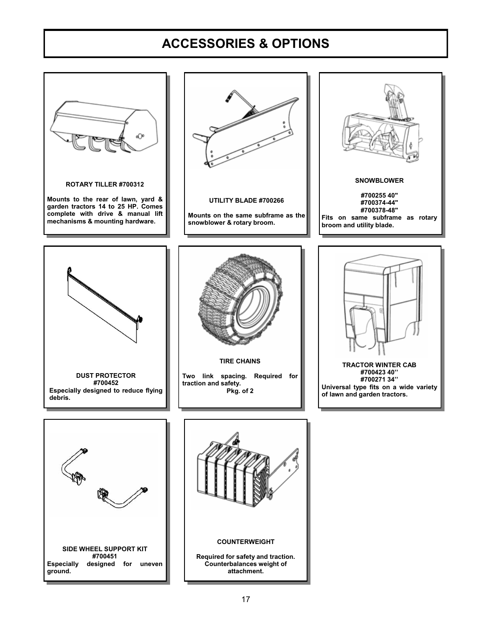## **ACCESSORIES & OPTIONS**

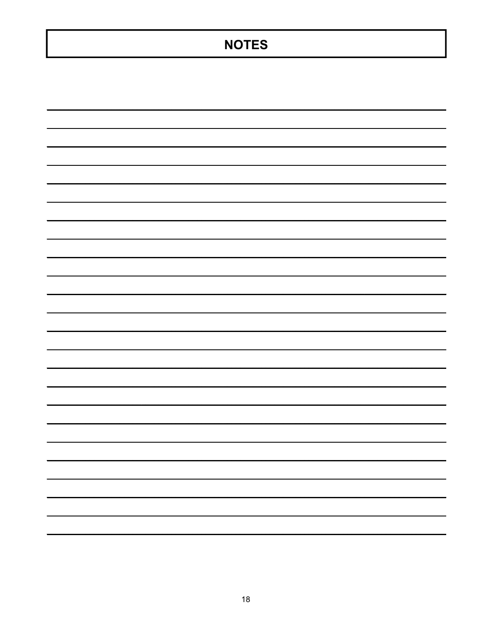## **NOTES**

|                                                                                                                       | $\overline{\phantom{0}}$ |
|-----------------------------------------------------------------------------------------------------------------------|--------------------------|
|                                                                                                                       |                          |
|                                                                                                                       | -                        |
|                                                                                                                       | -                        |
| <u> Alexandro de la contrada de la contrada de la contrada de la contrada de la contrada de la contrada de la con</u> |                          |
|                                                                                                                       |                          |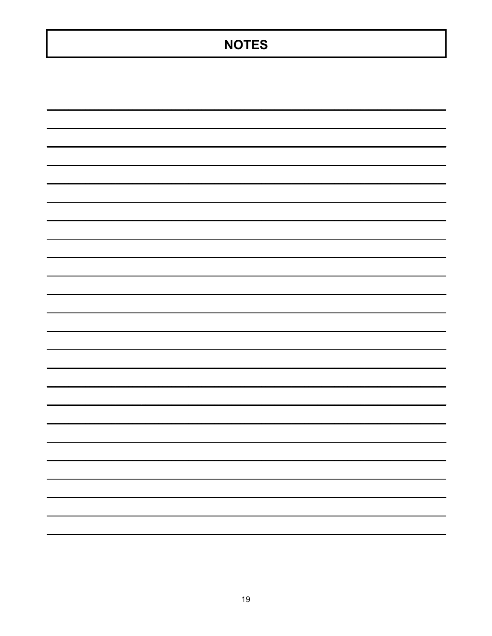## **NOTES**

| $\overline{\phantom{0}}$ |   |
|--------------------------|---|
|                          |   |
|                          |   |
|                          | - |
|                          | - |
| $\overline{\phantom{0}}$ | - |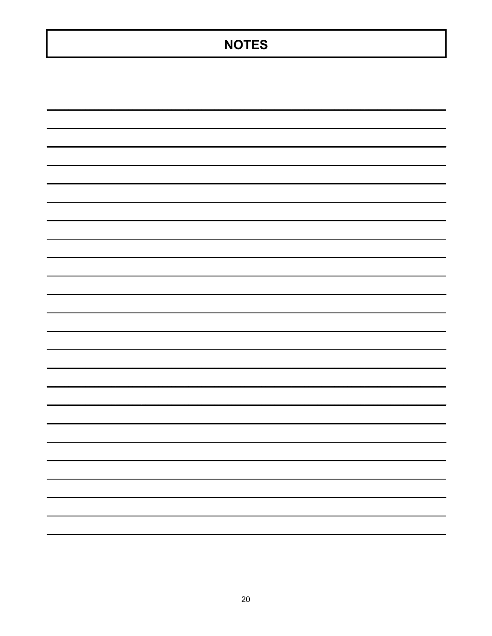## **NOTES**

| $\overline{\phantom{0}}$                                                                                             |   |
|----------------------------------------------------------------------------------------------------------------------|---|
|                                                                                                                      |   |
|                                                                                                                      |   |
|                                                                                                                      |   |
| $\overline{\phantom{0}}$                                                                                             |   |
| <u> 1999 - Jan Harry Harry Harry Harry Harry Harry Harry Harry Harry Harry Harry Harry Harry Harry Harry Harry H</u> | ۳ |